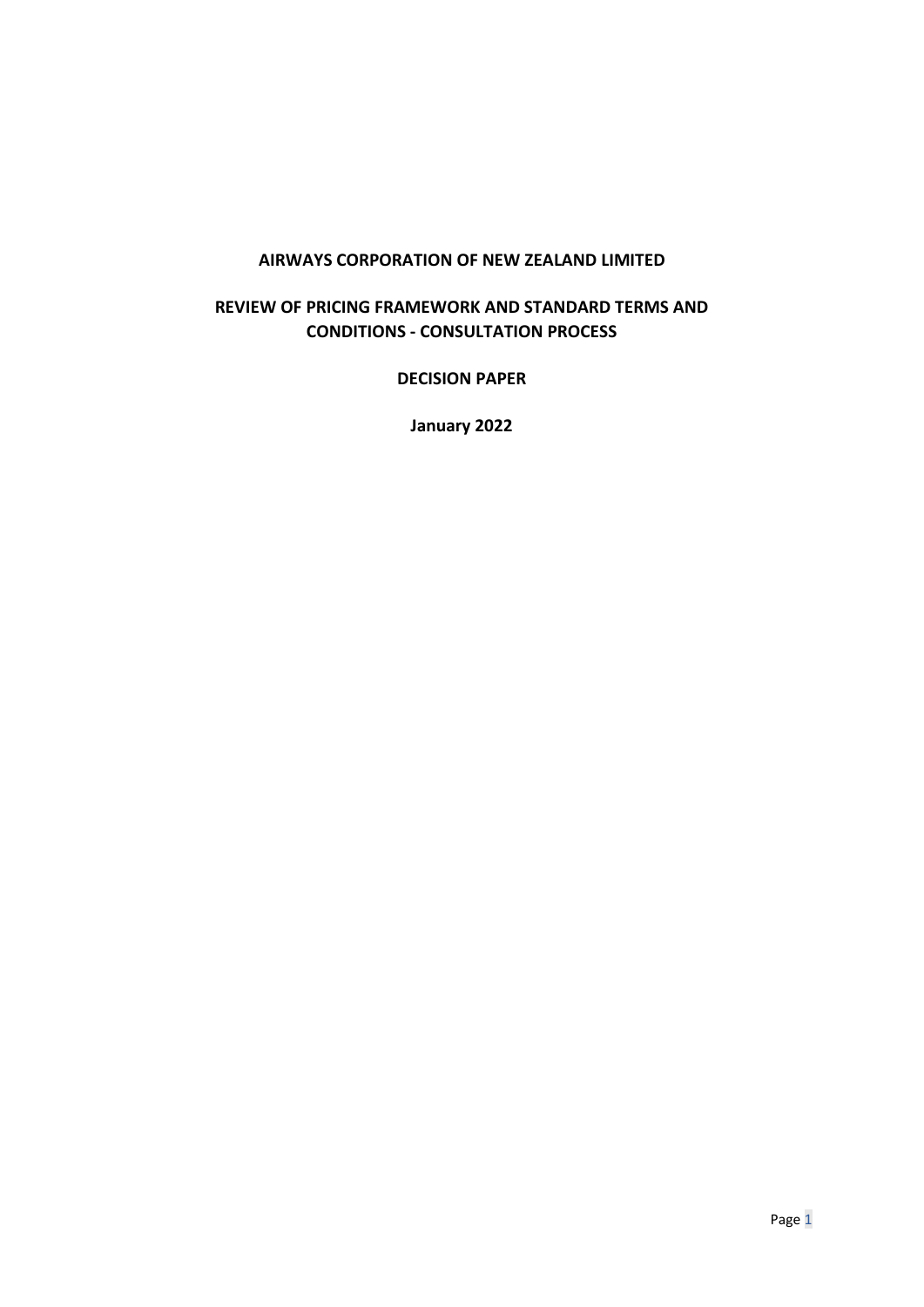#### **AIRWAYS CORPORATION OF NEW ZEALAND LIMITED**

#### **REVIEW OF PRICING FRAMEWORK AND STANDARD TERMS AND CONDITIONS - CONSULTATION PROCESS**

**DECISION PAPER** 

**January 2022**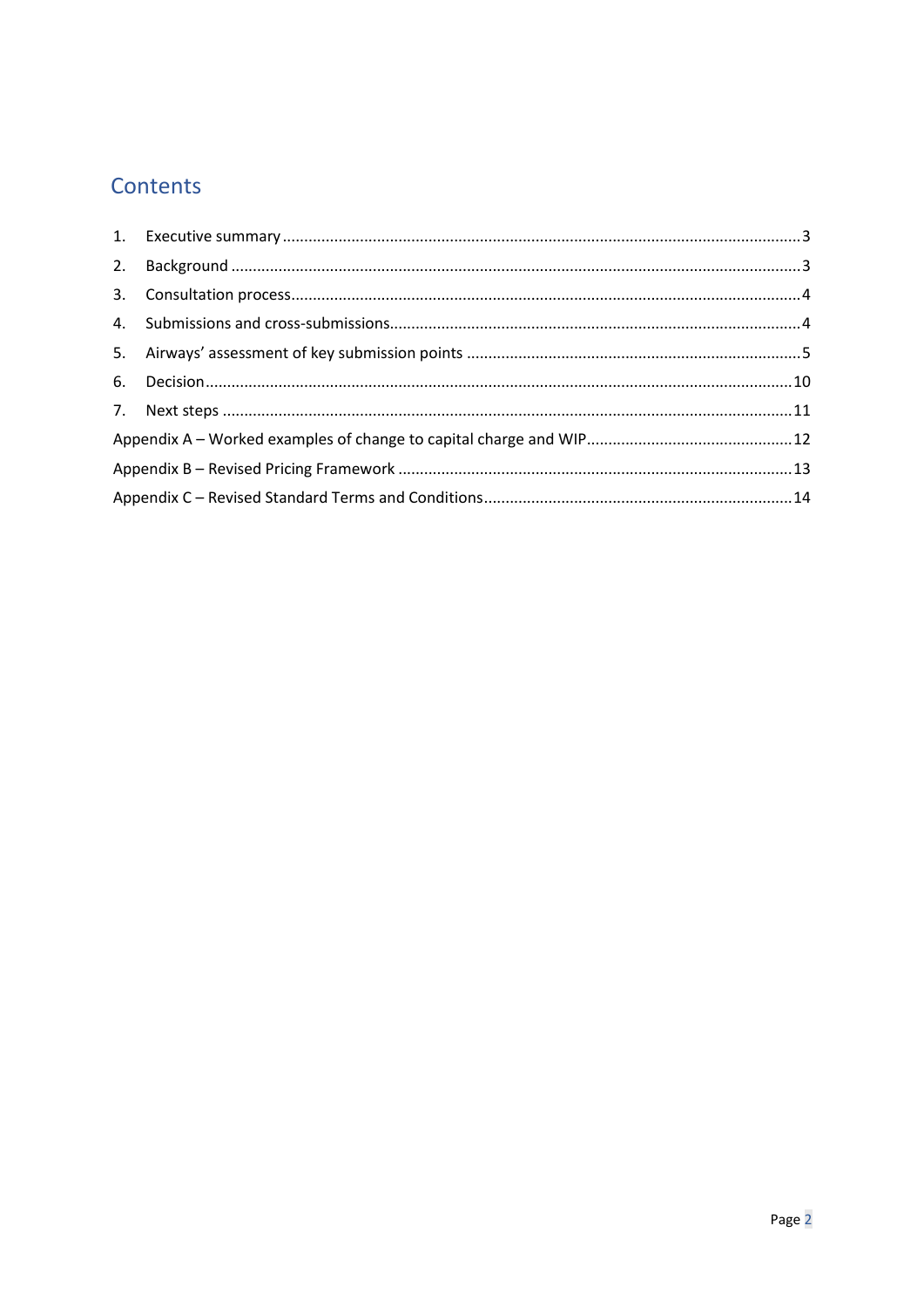# Contents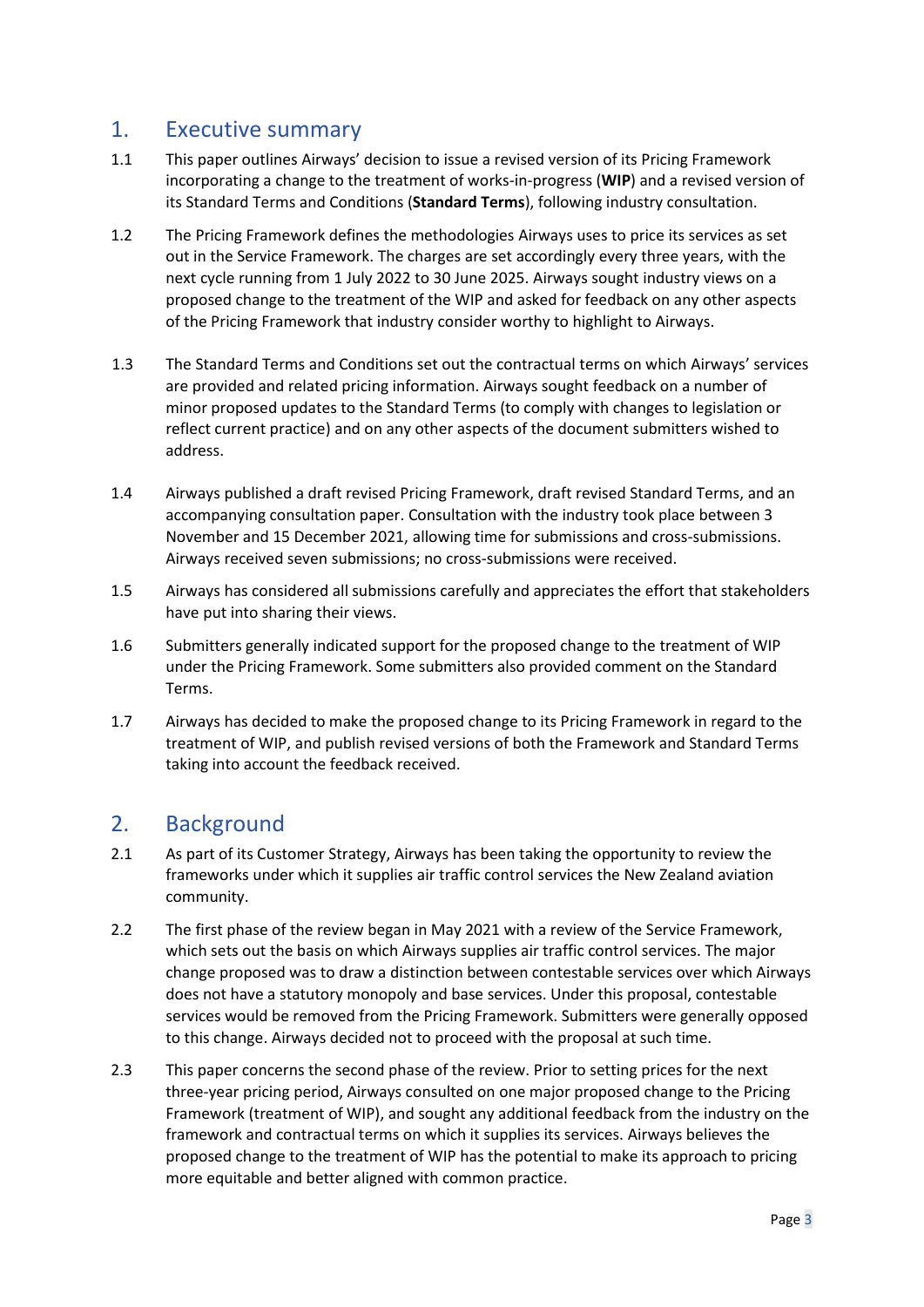### <span id="page-2-0"></span>1. Executive summary

- 1.1 This paper outlines Airways' decision to issue a revised version of its Pricing Framework incorporating a change to the treatment of works-in-progress (**WIP**) and a revised version of its Standard Terms and Conditions (**Standard Terms**), following industry consultation.
- 1.2 The Pricing Framework defines the methodologies Airways uses to price its services as set out in the Service Framework. The charges are set accordingly every three years, with the next cycle running from 1 July 2022 to 30 June 2025. Airways sought industry views on a proposed change to the treatment of the WIP and asked for feedback on any other aspects of the Pricing Framework that industry consider worthy to highlight to Airways.
- 1.3 The Standard Terms and Conditions set out the contractual terms on which Airways' services are provided and related pricing information. Airways sought feedback on a number of minor proposed updates to the Standard Terms (to comply with changes to legislation or reflect current practice) and on any other aspects of the document submitters wished to address.
- 1.4 Airways published a draft revised Pricing Framework, draft revised Standard Terms, and an accompanying consultation paper. Consultation with the industry took place between 3 November and 15 December 2021, allowing time for submissions and cross-submissions. Airways received seven submissions; no cross-submissions were received.
- 1.5 Airways has considered all submissions carefully and appreciates the effort that stakeholders have put into sharing their views.
- 1.6 Submitters generally indicated support for the proposed change to the treatment of WIP under the Pricing Framework. Some submitters also provided comment on the Standard Terms.
- 1.7 Airways has decided to make the proposed change to its Pricing Framework in regard to the treatment of WIP, and publish revised versions of both the Framework and Standard Terms taking into account the feedback received.

## <span id="page-2-1"></span>2. Background

- 2.1 As part of its Customer Strategy, Airways has been taking the opportunity to review the frameworks under which it supplies air traffic control services the New Zealand aviation community.
- 2.2 The first phase of the review began in May 2021 with a review of the Service Framework, which sets out the basis on which Airways supplies air traffic control services. The major change proposed was to draw a distinction between contestable services over which Airways does not have a statutory monopoly and base services. Under this proposal, contestable services would be removed from the Pricing Framework. Submitters were generally opposed to this change. Airways decided not to proceed with the proposal at such time.
- 2.3 This paper concerns the second phase of the review. Prior to setting prices for the next three-year pricing period, Airways consulted on one major proposed change to the Pricing Framework (treatment of WIP), and sought any additional feedback from the industry on the framework and contractual terms on which it supplies its services. Airways believes the proposed change to the treatment of WIP has the potential to make its approach to pricing more equitable and better aligned with common practice.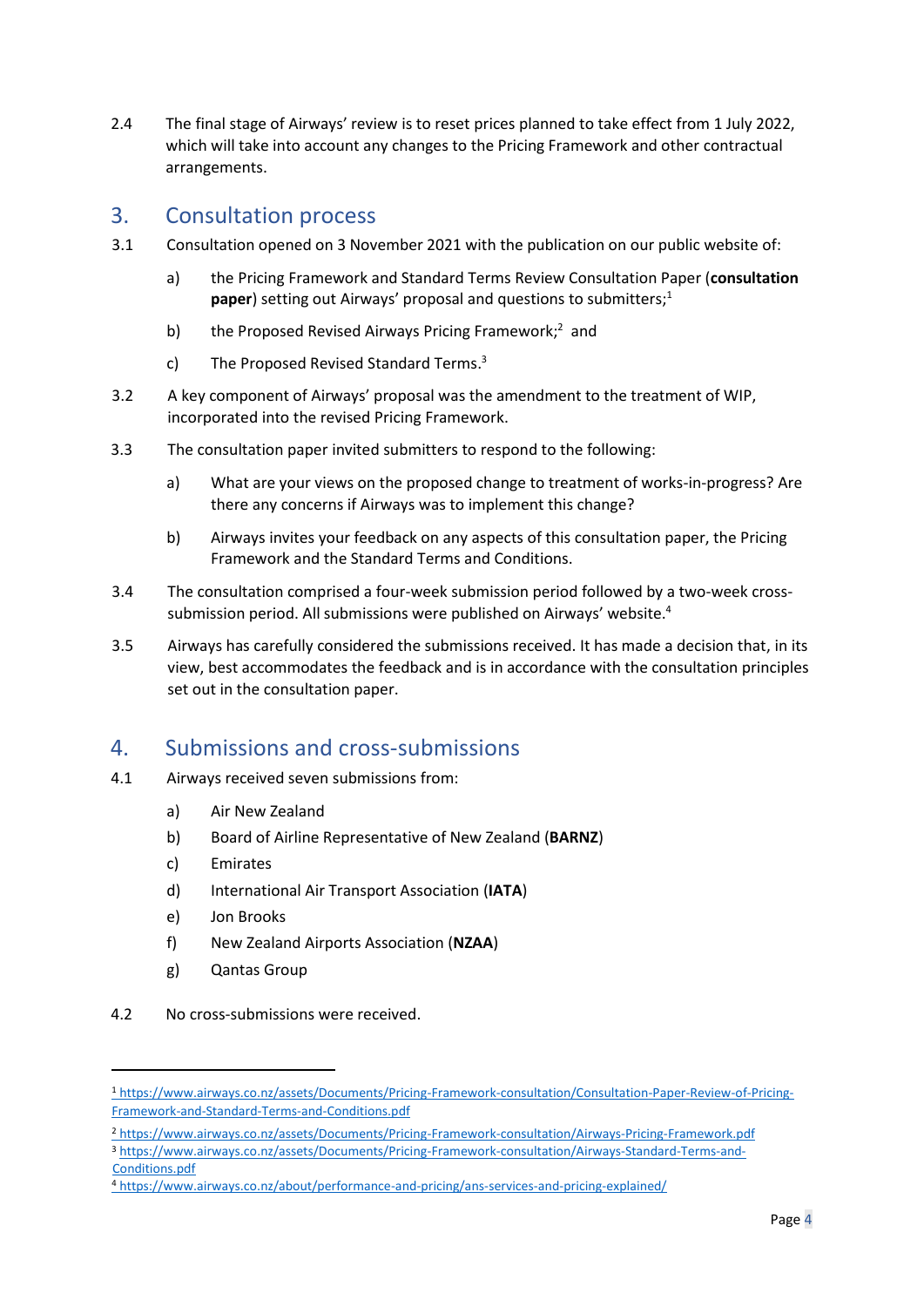2.4 The final stage of Airways' review is to reset prices planned to take effect from 1 July 2022, which will take into account any changes to the Pricing Framework and other contractual arrangements.

### <span id="page-3-0"></span>3. Consultation process

- 3.1 Consultation opened on 3 November 2021 with the publication on our public website of:
	- a) the Pricing Framework and Standard Terms Review Consultation Paper (**consultation**  paper) setting out Airways' proposal and questions to submitters;<sup>1</sup>
	- b) the Proposed Revised Airways Pricing Framework;<sup>2</sup> and
	- c) The Proposed Revised Standard Terms.<sup>3</sup>
- 3.2 A key component of Airways' proposal was the amendment to the treatment of WIP, incorporated into the revised Pricing Framework.
- 3.3 The consultation paper invited submitters to respond to the following:
	- a) What are your views on the proposed change to treatment of works-in-progress? Are there any concerns if Airways was to implement this change?
	- b) Airways invites your feedback on any aspects of this consultation paper, the Pricing Framework and the Standard Terms and Conditions.
- 3.4 The consultation comprised a four-week submission period followed by a two-week crosssubmission period. All submissions were published on Airways' website. 4
- 3.5 Airways has carefully considered the submissions received. It has made a decision that, in its view, best accommodates the feedback and is in accordance with the consultation principles set out in the consultation paper.

### <span id="page-3-1"></span>4. Submissions and cross-submissions

- 4.1 Airways received seven submissions from:
	- a) Air New Zealand
	- b) Board of Airline Representative of New Zealand (**BARNZ**)
	- c) Emirates
	- d) International Air Transport Association (**IATA**)
	- e) Jon Brooks
	- f) New Zealand Airports Association (**NZAA**)
	- g) Qantas Group
- 4.2 No cross-submissions were received.

<sup>1</sup> https://www.airways.co.nz/assets/Documents/Pricing-Framework-consultation/Consultation-Paper-Review-of-Pricing-Framework-and-Standard-Terms-and-Conditions.pdf

<sup>2</sup> https://www.airways.co.nz/assets/Documents/Pricing-Framework-consultation/Airways-Pricing-Framework.pd[f](https://www.airways.co.nz/assets/Documents/Proposed-Revised-Airways-Service-Framework-v3.pdf) <sup>3</sup> https://www.airways.co.nz/assets/Documents/Pricing-Framework-consultation/Airways-Standard-Terms-and-Conditions.pdf

<sup>4</sup> <https://www.airways.co.nz/about/performance-and-pricing/ans-services-and-pricing-explained/>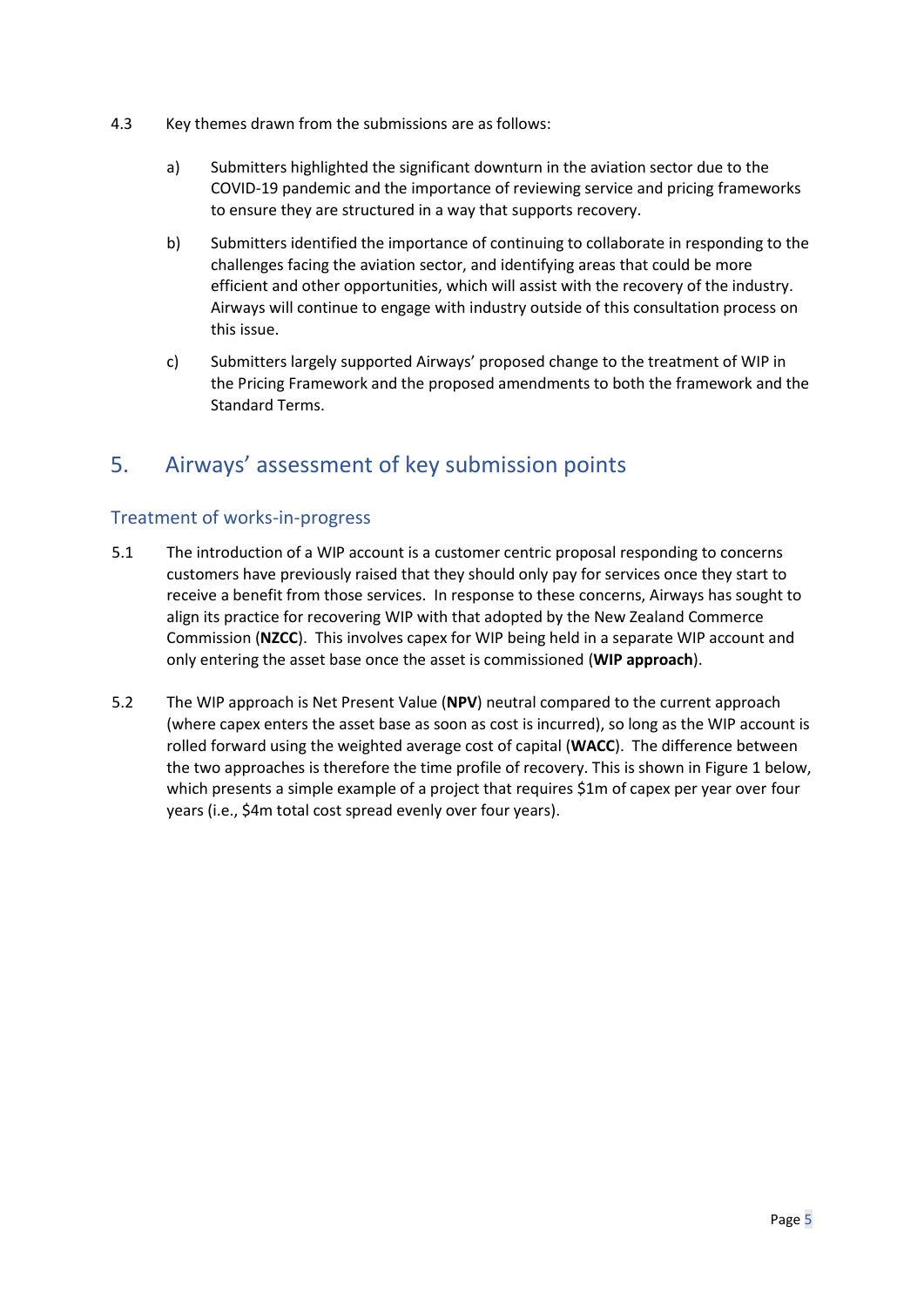- 4.3 Key themes drawn from the submissions are as follows:
	- a) Submitters highlighted the significant downturn in the aviation sector due to the COVID-19 pandemic and the importance of reviewing service and pricing frameworks to ensure they are structured in a way that supports recovery.
	- b) Submitters identified the importance of continuing to collaborate in responding to the challenges facing the aviation sector, and identifying areas that could be more efficient and other opportunities, which will assist with the recovery of the industry. Airways will continue to engage with industry outside of this consultation process on this issue.
	- c) Submitters largely supported Airways' proposed change to the treatment of WIP in the Pricing Framework and the proposed amendments to both the framework and the Standard Terms.

# <span id="page-4-0"></span>5. Airways' assessment of key submission points

#### Treatment of works-in-progress

- 5.1 The introduction of a WIP account is a customer centric proposal responding to concerns customers have previously raised that they should only pay for services once they start to receive a benefit from those services. In response to these concerns, Airways has sought to align its practice for recovering WIP with that adopted by the New Zealand Commerce Commission (**NZCC**). This involves capex for WIP being held in a separate WIP account and only entering the asset base once the asset is commissioned (**WIP approach**).
- 5.2 The WIP approach is Net Present Value (**NPV**) neutral compared to the current approach (where capex enters the asset base as soon as cost is incurred), so long as the WIP account is rolled forward using the weighted average cost of capital (**WACC**). The difference between the two approaches is therefore the time profile of recovery. This is shown in Figure 1 below, which presents a simple example of a project that requires \$1m of capex per year over four years (i.e., \$4m total cost spread evenly over four years).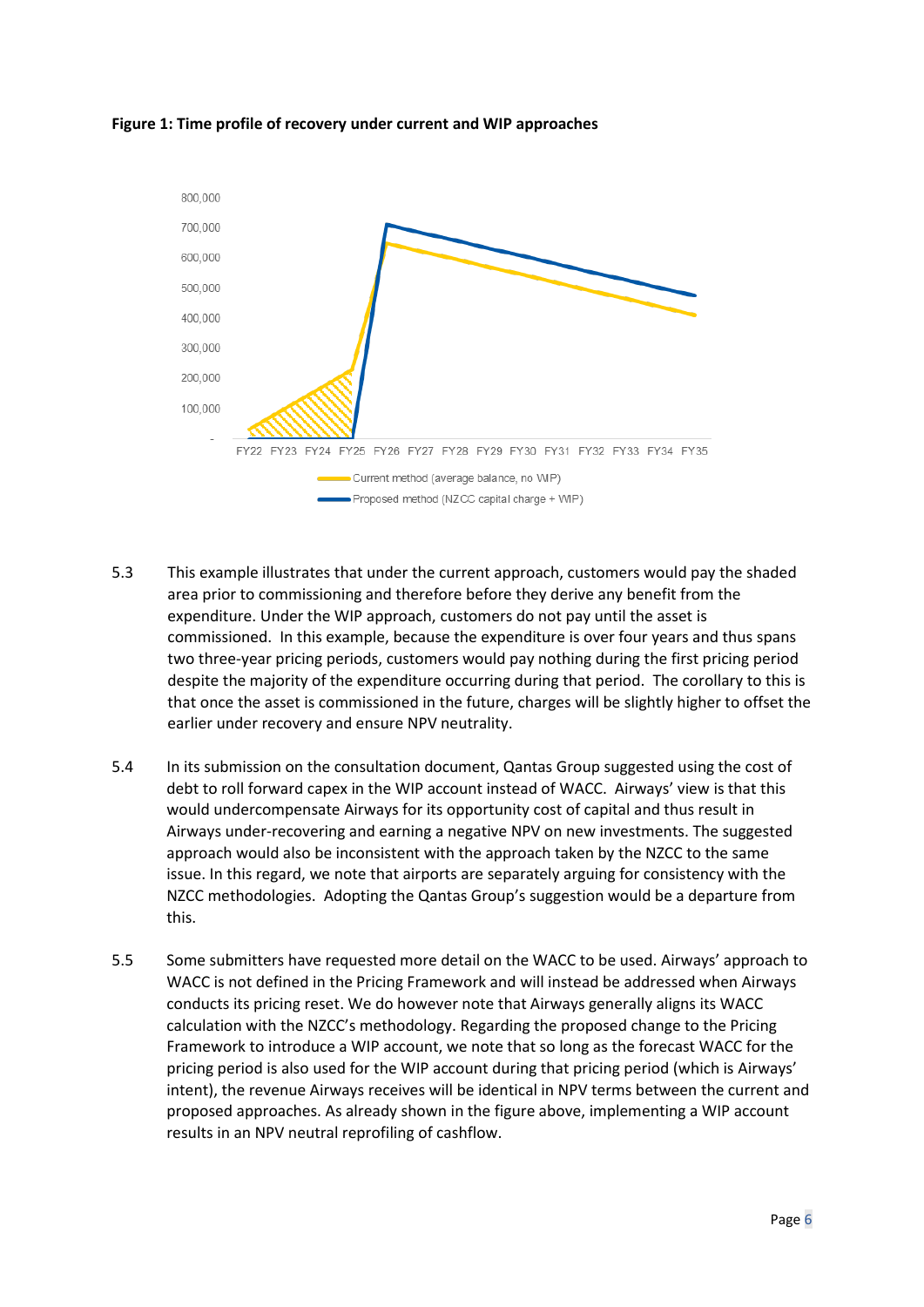**Figure 1: Time profile of recovery under current and WIP approaches**



- 5.3 This example illustrates that under the current approach, customers would pay the shaded area prior to commissioning and therefore before they derive any benefit from the expenditure. Under the WIP approach, customers do not pay until the asset is commissioned. In this example, because the expenditure is over four years and thus spans two three-year pricing periods, customers would pay nothing during the first pricing period despite the majority of the expenditure occurring during that period. The corollary to this is that once the asset is commissioned in the future, charges will be slightly higher to offset the earlier under recovery and ensure NPV neutrality.
- 5.4 In its submission on the consultation document, Qantas Group suggested using the cost of debt to roll forward capex in the WIP account instead of WACC. Airways' view is that this would undercompensate Airways for its opportunity cost of capital and thus result in Airways under-recovering and earning a negative NPV on new investments. The suggested approach would also be inconsistent with the approach taken by the NZCC to the same issue. In this regard, we note that airports are separately arguing for consistency with the NZCC methodologies. Adopting the Qantas Group's suggestion would be a departure from this.
- 5.5 Some submitters have requested more detail on the WACC to be used. Airways' approach to WACC is not defined in the Pricing Framework and will instead be addressed when Airways conducts its pricing reset. We do however note that Airways generally aligns its WACC calculation with the NZCC's methodology. Regarding the proposed change to the Pricing Framework to introduce a WIP account, we note that so long as the forecast WACC for the pricing period is also used for the WIP account during that pricing period (which is Airways' intent), the revenue Airways receives will be identical in NPV terms between the current and proposed approaches. As already shown in the figure above, implementing a WIP account results in an NPV neutral reprofiling of cashflow.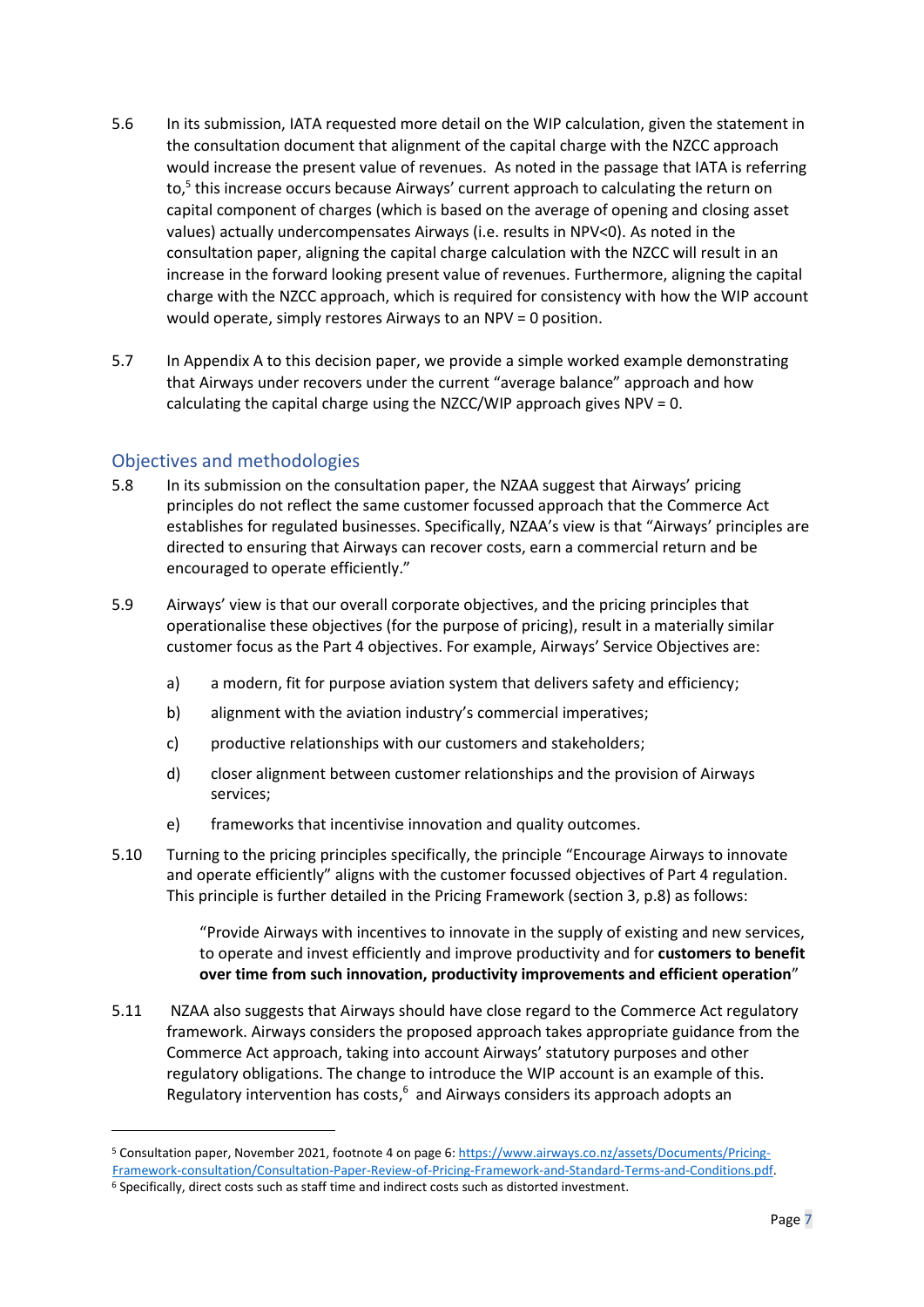- 5.6 In its submission, IATA requested more detail on the WIP calculation, given the statement in the consultation document that alignment of the capital charge with the NZCC approach would increase the present value of revenues. As noted in the passage that IATA is referring to, 5 this increase occurs because Airways' current approach to calculating the return on capital component of charges (which is based on the average of opening and closing asset values) actually undercompensates Airways (i.e. results in NPV<0). As noted in the consultation paper, aligning the capital charge calculation with the NZCC will result in an increase in the forward looking present value of revenues. Furthermore, aligning the capital charge with the NZCC approach, which is required for consistency with how the WIP account would operate, simply restores Airways to an NPV = 0 position.
- 5.7 In Appendix A to this decision paper, we provide a simple worked example demonstrating that Airways under recovers under the current "average balance" approach and how calculating the capital charge using the NZCC/WIP approach gives NPV = 0.

#### Objectives and methodologies

- 5.8 In its submission on the consultation paper, the NZAA suggest that Airways' pricing principles do not reflect the same customer focussed approach that the Commerce Act establishes for regulated businesses. Specifically, NZAA's view is that "Airways' principles are directed to ensuring that Airways can recover costs, earn a commercial return and be encouraged to operate efficiently."
- 5.9 Airways' view is that our overall corporate objectives, and the pricing principles that operationalise these objectives (for the purpose of pricing), result in a materially similar customer focus as the Part 4 objectives. For example, Airways' Service Objectives are:
	- a) a modern, fit for purpose aviation system that delivers safety and efficiency;
	- b) alignment with the aviation industry's commercial imperatives;
	- c) productive relationships with our customers and stakeholders;
	- d) closer alignment between customer relationships and the provision of Airways services;
	- e) frameworks that incentivise innovation and quality outcomes.
- 5.10 Turning to the pricing principles specifically, the principle "Encourage Airways to innovate and operate efficiently" aligns with the customer focussed objectives of Part 4 regulation. This principle is further detailed in the Pricing Framework (section 3, p.8) as follows:

"Provide Airways with incentives to innovate in the supply of existing and new services, to operate and invest efficiently and improve productivity and for **customers to benefit over time from such innovation, productivity improvements and efficient operation**"

5.11 NZAA also suggests that Airways should have close regard to the Commerce Act regulatory framework. Airways considers the proposed approach takes appropriate guidance from the Commerce Act approach, taking into account Airways' statutory purposes and other regulatory obligations. The change to introduce the WIP account is an example of this. Regulatory intervention has costs,<sup>6</sup> and Airways considers its approach adopts an

<sup>5</sup> Consultation paper, November 2021, footnote 4 on page 6[: https://www.airways.co.nz/assets/Documents/Pricing-](https://www.airways.co.nz/assets/Documents/Pricing-Framework-consultation/Consultation-Paper-Review-of-Pricing-Framework-and-Standard-Terms-and-Conditions.pdf)[Framework-consultation/Consultation-Paper-Review-of-Pricing-Framework-and-Standard-Terms-and-Conditions.pdf.](https://www.airways.co.nz/assets/Documents/Pricing-Framework-consultation/Consultation-Paper-Review-of-Pricing-Framework-and-Standard-Terms-and-Conditions.pdf) 

<sup>&</sup>lt;sup>6</sup> Specifically, direct costs such as staff time and indirect costs such as distorted investment.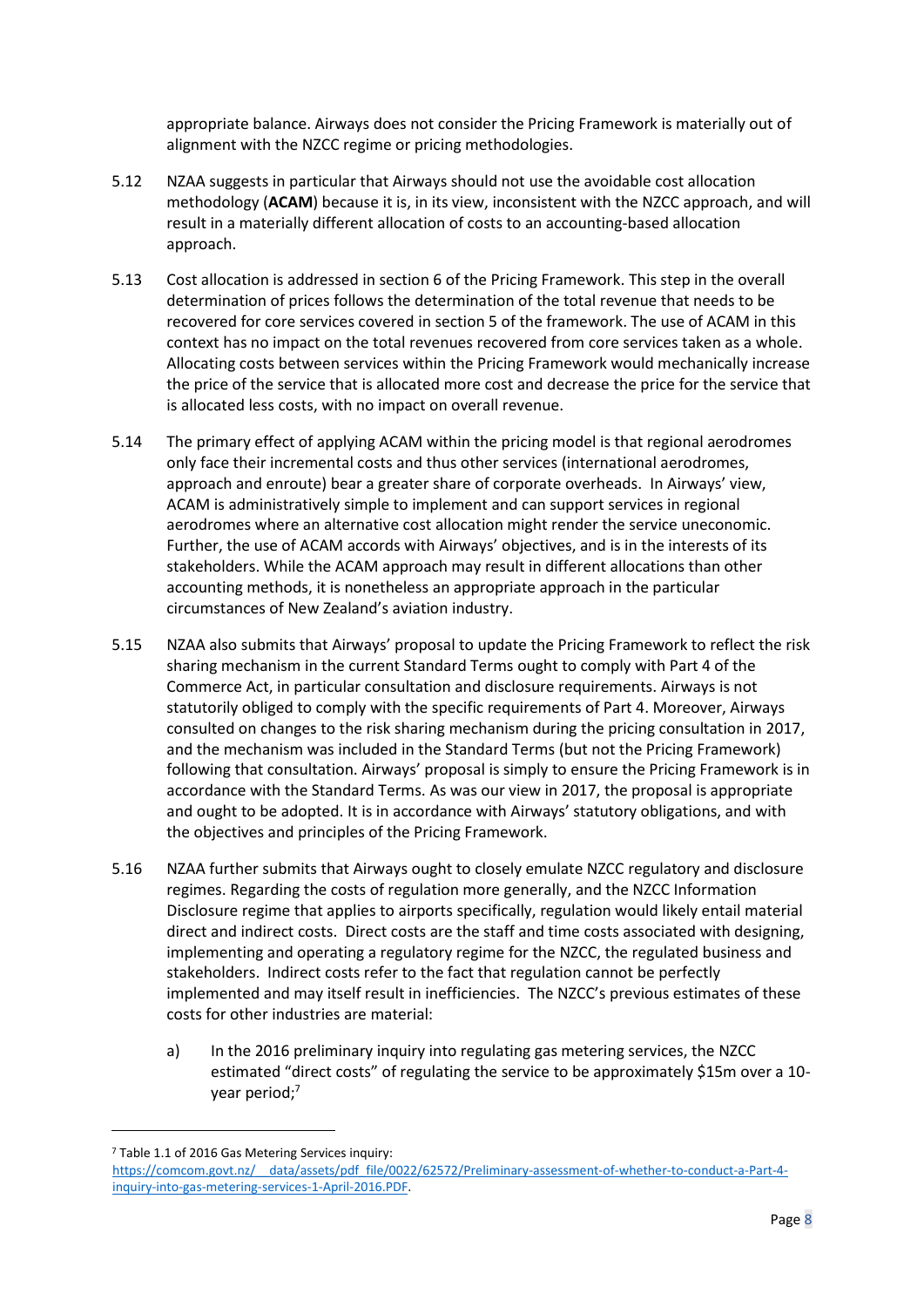appropriate balance. Airways does not consider the Pricing Framework is materially out of alignment with the NZCC regime or pricing methodologies.

- 5.12 NZAA suggests in particular that Airways should not use the avoidable cost allocation methodology (**ACAM**) because it is, in its view, inconsistent with the NZCC approach, and will result in a materially different allocation of costs to an accounting-based allocation approach.
- 5.13 Cost allocation is addressed in section 6 of the Pricing Framework. This step in the overall determination of prices follows the determination of the total revenue that needs to be recovered for core services covered in section 5 of the framework. The use of ACAM in this context has no impact on the total revenues recovered from core services taken as a whole. Allocating costs between services within the Pricing Framework would mechanically increase the price of the service that is allocated more cost and decrease the price for the service that is allocated less costs, with no impact on overall revenue.
- 5.14 The primary effect of applying ACAM within the pricing model is that regional aerodromes only face their incremental costs and thus other services (international aerodromes, approach and enroute) bear a greater share of corporate overheads. In Airways' view, ACAM is administratively simple to implement and can support services in regional aerodromes where an alternative cost allocation might render the service uneconomic. Further, the use of ACAM accords with Airways' objectives, and is in the interests of its stakeholders. While the ACAM approach may result in different allocations than other accounting methods, it is nonetheless an appropriate approach in the particular circumstances of New Zealand's aviation industry.
- 5.15 NZAA also submits that Airways' proposal to update the Pricing Framework to reflect the risk sharing mechanism in the current Standard Terms ought to comply with Part 4 of the Commerce Act, in particular consultation and disclosure requirements. Airways is not statutorily obliged to comply with the specific requirements of Part 4. Moreover, Airways consulted on changes to the risk sharing mechanism during the pricing consultation in 2017, and the mechanism was included in the Standard Terms (but not the Pricing Framework) following that consultation. Airways' proposal is simply to ensure the Pricing Framework is in accordance with the Standard Terms. As was our view in 2017, the proposal is appropriate and ought to be adopted. It is in accordance with Airways' statutory obligations, and with the objectives and principles of the Pricing Framework.
- 5.16 NZAA further submits that Airways ought to closely emulate NZCC regulatory and disclosure regimes. Regarding the costs of regulation more generally, and the NZCC Information Disclosure regime that applies to airports specifically, regulation would likely entail material direct and indirect costs. Direct costs are the staff and time costs associated with designing, implementing and operating a regulatory regime for the NZCC, the regulated business and stakeholders. Indirect costs refer to the fact that regulation cannot be perfectly implemented and may itself result in inefficiencies. The NZCC's previous estimates of these costs for other industries are material:
	- a) In the 2016 preliminary inquiry into regulating gas metering services, the NZCC estimated "direct costs" of regulating the service to be approximately \$15m over a 10 year period;<sup>7</sup>

<sup>7</sup> Table 1.1 of 2016 Gas Metering Services inquiry:

[https://comcom.govt.nz/\\_\\_data/assets/pdf\\_file/0022/62572/Preliminary-assessment-of-whether-to-conduct-a-Part-4](https://comcom.govt.nz/__data/assets/pdf_file/0022/62572/Preliminary-assessment-of-whether-to-conduct-a-Part-4-inquiry-into-gas-metering-services-1-April-2016.PDF) [inquiry-into-gas-metering-services-1-April-2016.PDF.](https://comcom.govt.nz/__data/assets/pdf_file/0022/62572/Preliminary-assessment-of-whether-to-conduct-a-Part-4-inquiry-into-gas-metering-services-1-April-2016.PDF)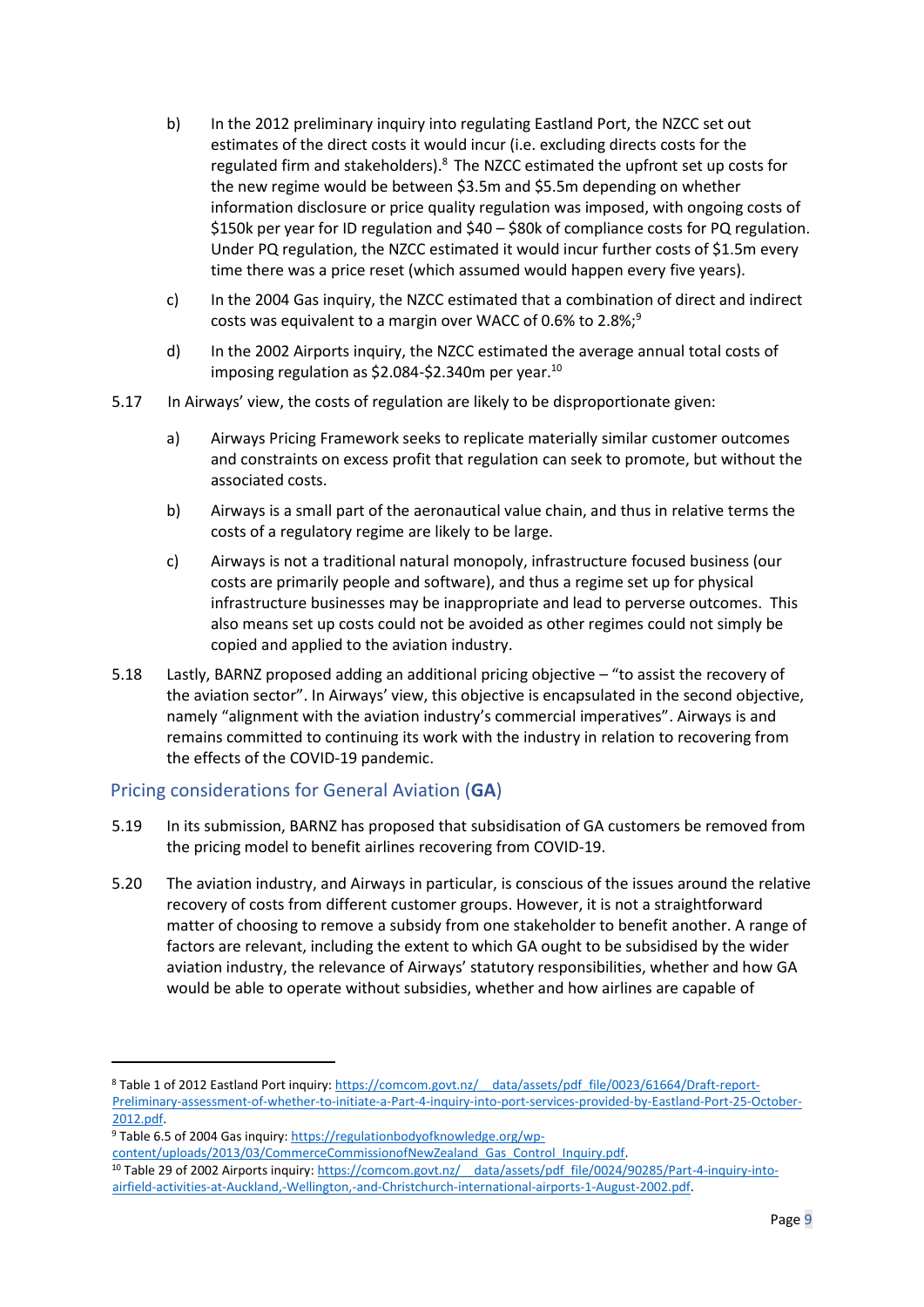- b) In the 2012 preliminary inquiry into regulating Eastland Port, the NZCC set out estimates of the direct costs it would incur (i.e. excluding directs costs for the regulated firm and stakeholders).<sup>8</sup> The NZCC estimated the upfront set up costs for the new regime would be between \$3.5m and \$5.5m depending on whether information disclosure or price quality regulation was imposed, with ongoing costs of \$150k per year for ID regulation and \$40 – \$80k of compliance costs for PQ regulation. Under PQ regulation, the NZCC estimated it would incur further costs of \$1.5m every time there was a price reset (which assumed would happen every five years).
- c) In the 2004 Gas inquiry, the NZCC estimated that a combination of direct and indirect costs was equivalent to a margin over WACC of 0.6% to 2.8%;<sup>9</sup>
- d) In the 2002 Airports inquiry, the NZCC estimated the average annual total costs of imposing regulation as  $$2.084-S2.340m$  per year.<sup>10</sup>
- 5.17 In Airways' view, the costs of regulation are likely to be disproportionate given:
	- a) Airways Pricing Framework seeks to replicate materially similar customer outcomes and constraints on excess profit that regulation can seek to promote, but without the associated costs.
	- b) Airways is a small part of the aeronautical value chain, and thus in relative terms the costs of a regulatory regime are likely to be large.
	- c) Airways is not a traditional natural monopoly, infrastructure focused business (our costs are primarily people and software), and thus a regime set up for physical infrastructure businesses may be inappropriate and lead to perverse outcomes. This also means set up costs could not be avoided as other regimes could not simply be copied and applied to the aviation industry.
- 5.18 Lastly, BARNZ proposed adding an additional pricing objective "to assist the recovery of the aviation sector". In Airways' view, this objective is encapsulated in the second objective, namely "alignment with the aviation industry's commercial imperatives". Airways is and remains committed to continuing its work with the industry in relation to recovering from the effects of the COVID-19 pandemic.

#### Pricing considerations for General Aviation (**GA**)

- 5.19 In its submission, BARNZ has proposed that subsidisation of GA customers be removed from the pricing model to benefit airlines recovering from COVID-19.
- 5.20 The aviation industry, and Airways in particular, is conscious of the issues around the relative recovery of costs from different customer groups. However, it is not a straightforward matter of choosing to remove a subsidy from one stakeholder to benefit another. A range of factors are relevant, including the extent to which GA ought to be subsidised by the wider aviation industry, the relevance of Airways' statutory responsibilities, whether and how GA would be able to operate without subsidies, whether and how airlines are capable of

<sup>8</sup> Table 1 of 2012 Eastland Port inquiry: [https://comcom.govt.nz/\\_\\_data/assets/pdf\\_file/0023/61664/Draft-report-](https://comcom.govt.nz/__data/assets/pdf_file/0023/61664/Draft-report-Preliminary-assessment-of-whether-to-initiate-a-Part-4-inquiry-into-port-services-provided-by-Eastland-Port-25-October-2012.pdf)[Preliminary-assessment-of-whether-to-initiate-a-Part-4-inquiry-into-port-services-provided-by-Eastland-Port-25-October-](https://comcom.govt.nz/__data/assets/pdf_file/0023/61664/Draft-report-Preliminary-assessment-of-whether-to-initiate-a-Part-4-inquiry-into-port-services-provided-by-Eastland-Port-25-October-2012.pdf)[2012.pdf.](https://comcom.govt.nz/__data/assets/pdf_file/0023/61664/Draft-report-Preliminary-assessment-of-whether-to-initiate-a-Part-4-inquiry-into-port-services-provided-by-Eastland-Port-25-October-2012.pdf)

<sup>9</sup> Table 6.5 of 2004 Gas inquiry: [https://regulationbodyofknowledge.org/wp-](https://regulationbodyofknowledge.org/wp-content/uploads/2013/03/CommerceCommissionofNewZealand_Gas_Control_Inquiry.pdf)

[content/uploads/2013/03/CommerceCommissionofNewZealand\\_Gas\\_Control\\_Inquiry.pdf.](https://regulationbodyofknowledge.org/wp-content/uploads/2013/03/CommerceCommissionofNewZealand_Gas_Control_Inquiry.pdf) 10 Table 29 of 2002 Airports inquiry: https://comcom.govt.nz/ data/assets/pdf file/0024/90285/Part-4-inquiry-into[airfield-activities-at-Auckland,-Wellington,-and-Christchurch-international-airports-1-August-2002.pdf.](https://comcom.govt.nz/__data/assets/pdf_file/0024/90285/Part-4-inquiry-into-airfield-activities-at-Auckland,-Wellington,-and-Christchurch-international-airports-1-August-2002.pdf)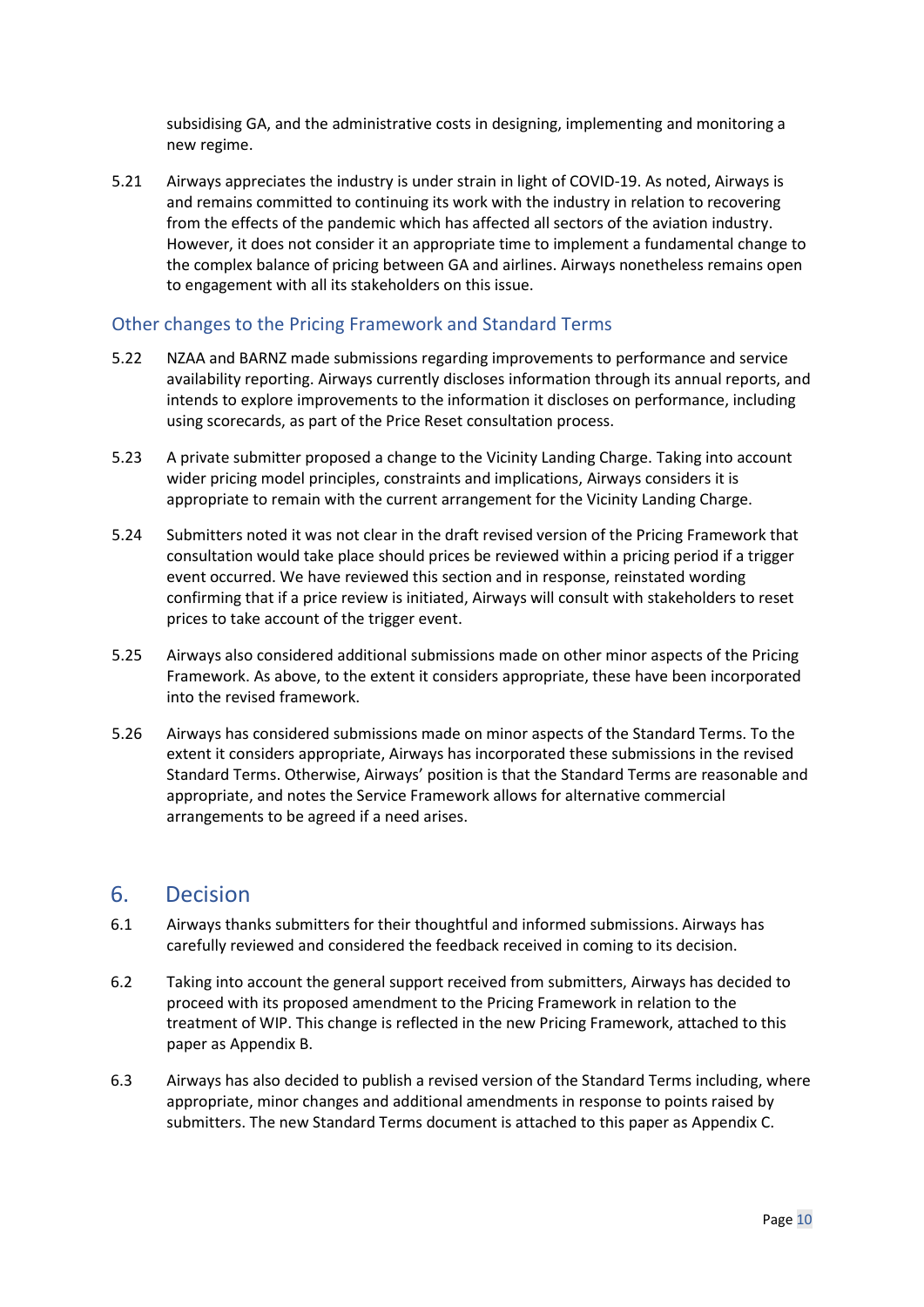subsidising GA, and the administrative costs in designing, implementing and monitoring a new regime.

5.21 Airways appreciates the industry is under strain in light of COVID-19. As noted, Airways is and remains committed to continuing its work with the industry in relation to recovering from the effects of the pandemic which has affected all sectors of the aviation industry. However, it does not consider it an appropriate time to implement a fundamental change to the complex balance of pricing between GA and airlines. Airways nonetheless remains open to engagement with all its stakeholders on this issue.

#### Other changes to the Pricing Framework and Standard Terms

- 5.22 NZAA and BARNZ made submissions regarding improvements to performance and service availability reporting. Airways currently discloses information through its annual reports, and intends to explore improvements to the information it discloses on performance, including using scorecards, as part of the Price Reset consultation process.
- 5.23 A private submitter proposed a change to the Vicinity Landing Charge. Taking into account wider pricing model principles, constraints and implications, Airways considers it is appropriate to remain with the current arrangement for the Vicinity Landing Charge.
- 5.24 Submitters noted it was not clear in the draft revised version of the Pricing Framework that consultation would take place should prices be reviewed within a pricing period if a trigger event occurred. We have reviewed this section and in response, reinstated wording confirming that if a price review is initiated, Airways will consult with stakeholders to reset prices to take account of the trigger event.
- 5.25 Airways also considered additional submissions made on other minor aspects of the Pricing Framework. As above, to the extent it considers appropriate, these have been incorporated into the revised framework.
- 5.26 Airways has considered submissions made on minor aspects of the Standard Terms. To the extent it considers appropriate, Airways has incorporated these submissions in the revised Standard Terms. Otherwise, Airways' position is that the Standard Terms are reasonable and appropriate, and notes the Service Framework allows for alternative commercial arrangements to be agreed if a need arises.

### <span id="page-9-0"></span>6. Decision

- 6.1 Airways thanks submitters for their thoughtful and informed submissions. Airways has carefully reviewed and considered the feedback received in coming to its decision.
- 6.2 Taking into account the general support received from submitters, Airways has decided to proceed with its proposed amendment to the Pricing Framework in relation to the treatment of WIP. This change is reflected in the new Pricing Framework, attached to this paper as Appendix B.
- 6.3 Airways has also decided to publish a revised version of the Standard Terms including, where appropriate, minor changes and additional amendments in response to points raised by submitters. The new Standard Terms document is attached to this paper as Appendix C.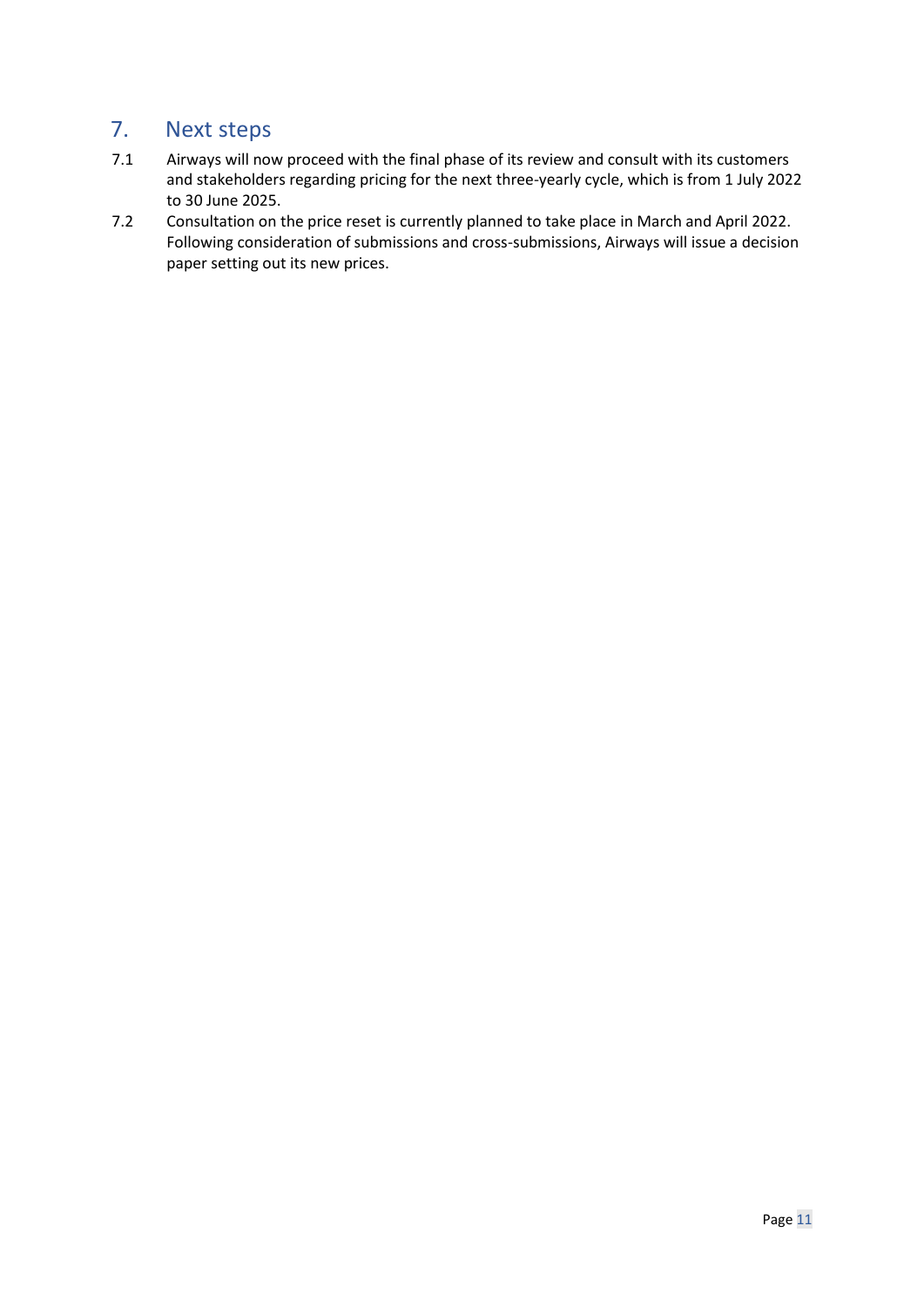## <span id="page-10-0"></span>7. Next steps

- 7.1 Airways will now proceed with the final phase of its review and consult with its customers and stakeholders regarding pricing for the next three-yearly cycle, which is from 1 July 2022 to 30 June 2025.
- 7.2 Consultation on the price reset is currently planned to take place in March and April 2022. Following consideration of submissions and cross-submissions, Airways will issue a decision paper setting out its new prices.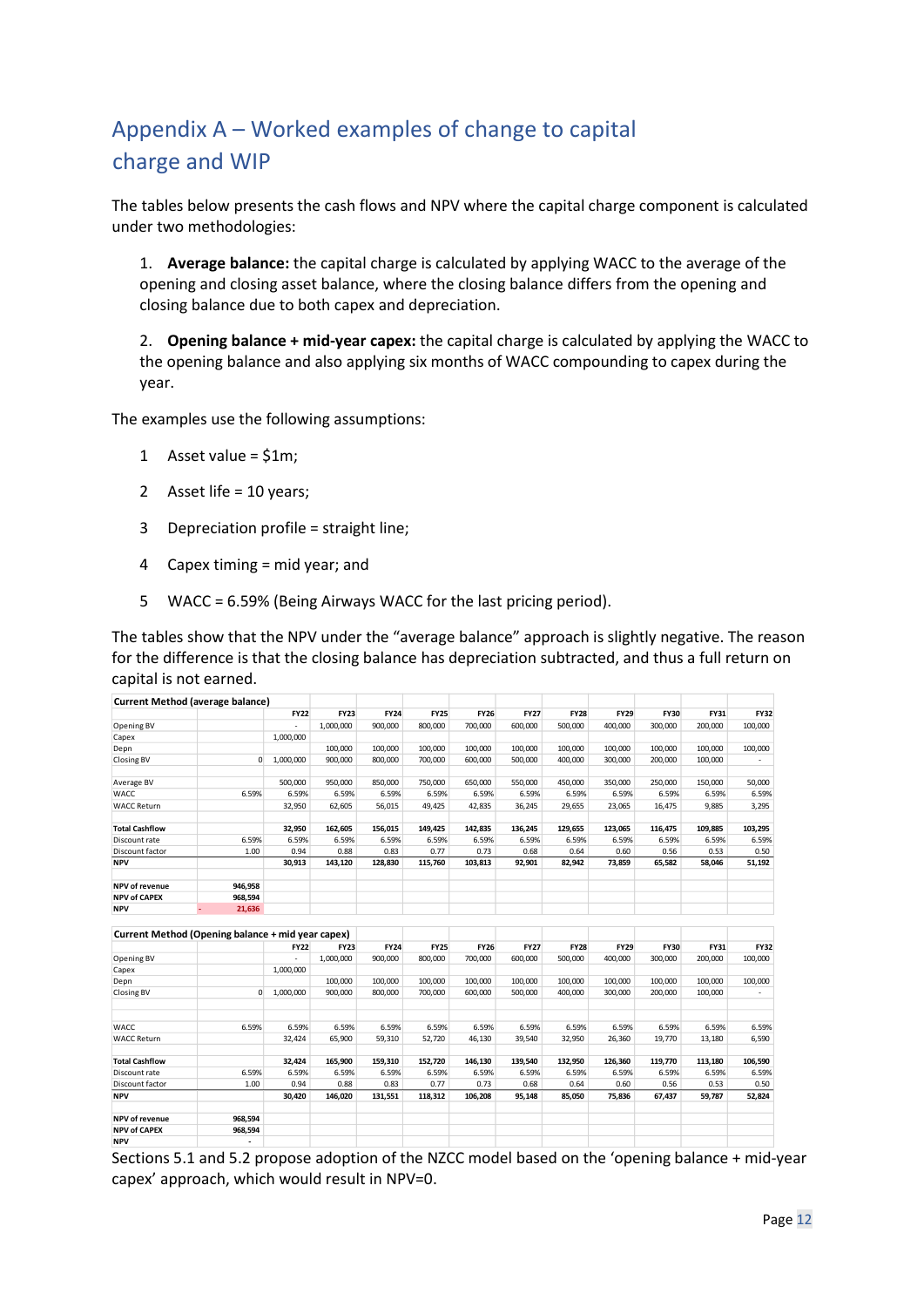# <span id="page-11-0"></span>Appendix A – Worked examples of change to capital charge and WIP

The tables below presents the cash flows and NPV where the capital charge component is calculated under two methodologies:

1. **Average balance:** the capital charge is calculated by applying WACC to the average of the opening and closing asset balance, where the closing balance differs from the opening and closing balance due to both capex and depreciation.

2. **Opening balance + mid-year capex:** the capital charge is calculated by applying the WACC to the opening balance and also applying six months of WACC compounding to capex during the year.

The examples use the following assumptions:

- 1 Asset value = \$1m;
- 2 Asset life = 10 years;
- 3 Depreciation profile = straight line;
- 4 Capex timing = mid year; and
- 5 WACC = 6.59% (Being Airways WACC for the last pricing period).

The tables show that the NPV under the "average balance" approach is slightly negative. The reason for the difference is that the closing balance has depreciation subtracted, and thus a full return on capital is not earned.

|                       | Current Method (average balance) |             |             |             |             |             |             |             |             |             |             |             |
|-----------------------|----------------------------------|-------------|-------------|-------------|-------------|-------------|-------------|-------------|-------------|-------------|-------------|-------------|
|                       |                                  | <b>FY22</b> | <b>FY23</b> | <b>FY24</b> | <b>FY25</b> | <b>FY26</b> | <b>FY27</b> | <b>FY28</b> | <b>FY29</b> | <b>FY30</b> | <b>FY31</b> | <b>FY32</b> |
| Opening BV            |                                  | ۰.          | 1,000,000   | 900,000     | 800.000     | 700,000     | 600,000     | 500,000     | 400,000     | 300,000     | 200,000     | 100,000     |
| Capex                 |                                  | 1,000,000   |             |             |             |             |             |             |             |             |             |             |
| Depn                  |                                  |             | 100,000     | 100,000     | 100,000     | 100,000     | 100,000     | 100,000     | 100,000     | 100,000     | 100,000     | 100,000     |
| Closing BV            | $\Omega$                         | 1,000,000   | 900,000     | 800,000     | 700,000     | 600,000     | 500,000     | 400,000     | 300,000     | 200,000     | 100,000     |             |
| Average BV            |                                  | 500,000     | 950,000     | 850,000     | 750,000     | 650,000     | 550,000     | 450,000     | 350,000     | 250,000     | 150,000     | 50,000      |
| WACC                  | 6.59%                            | 6.59%       | 6.59%       | 6.59%       | 6.59%       | 6.59%       | 6.59%       | 6.59%       | 6.59%       | 6.59%       | 6.59%       | 6.59%       |
| <b>WACC Return</b>    |                                  | 32,950      | 62,605      | 56,015      | 49,425      | 42,835      | 36,245      | 29,655      | 23,065      | 16,475      | 9,885       | 3,295       |
| <b>Total Cashflow</b> |                                  | 32,950      | 162,605     | 156,015     | 149,425     | 142,835     | 136,245     | 129,655     | 123,065     | 116,475     | 109,885     | 103,295     |
| Discount rate         | 6.59%                            | 6.59%       | 6.59%       | 6.59%       | 6.59%       | 6.59%       | 6.59%       | 6.59%       | 6.59%       | 6.59%       | 6.59%       | 6.59%       |
| Discount factor       | 1.00                             | 0.94        | 0.88        | 0.83        | 0.77        | 0.73        | 0.68        | 0.64        | 0.60        | 0.56        | 0.53        | 0.50        |
| <b>NPV</b>            |                                  | 30,913      | 143,120     | 128,830     | 115,760     | 103,813     | 92,901      | 82,942      | 73,859      | 65,582      | 58,046      | 51,192      |
| NPV of revenue        | 946,958                          |             |             |             |             |             |             |             |             |             |             |             |
| <b>NPV of CAPEX</b>   | 968,594                          |             |             |             |             |             |             |             |             |             |             |             |
| <b>NPV</b>            | 21,636                           |             |             |             |             |             |             |             |             |             |             |             |

| Current Method (Opening balance + mid year capex) |         |             |             |             |             |             |             |             |             |             |         |             |
|---------------------------------------------------|---------|-------------|-------------|-------------|-------------|-------------|-------------|-------------|-------------|-------------|---------|-------------|
|                                                   |         | <b>FY22</b> | <b>FY23</b> | <b>FY24</b> | <b>FY25</b> | <b>FY26</b> | <b>FY27</b> | <b>FY28</b> | <b>FY29</b> | <b>FY30</b> | FY31    | <b>FY32</b> |
| Opening BV                                        |         | ٠.          | 1,000,000   | 900,000     | 800.000     | 700,000     | 600,000     | 500,000     | 400,000     | 300,000     | 200,000 | 100,000     |
| Capex                                             |         | 1,000,000   |             |             |             |             |             |             |             |             |         |             |
| Depn                                              |         |             | 100,000     | 100,000     | 100.000     | 100,000     | 100,000     | 100,000     | 100,000     | 100,000     | 100,000 | 100,000     |
| Closing BV                                        | 0       | 1,000,000   | 900,000     | 800,000     | 700,000     | 600,000     | 500,000     | 400,000     | 300,000     | 200,000     | 100,000 |             |
| <b>WACC</b>                                       | 6.59%   | 6.59%       | 6.59%       | 6.59%       | 6.59%       | 6.59%       | 6.59%       | 6.59%       | 6.59%       | 6.59%       | 6.59%   | 6.59%       |
| <b>WACC Return</b>                                |         | 32.424      | 65,900      | 59,310      | 52,720      | 46,130      | 39,540      | 32,950      | 26,360      | 19,770      | 13,180  | 6,590       |
| <b>Total Cashflow</b>                             |         | 32,424      | 165,900     | 159,310     | 152,720     | 146,130     | 139,540     | 132,950     | 126,360     | 119,770     | 113,180 | 106,590     |
| Discount rate                                     | 6.59%   | 6.59%       | 6.59%       | 6.59%       | 6.59%       | 6.59%       | 6.59%       | 6.59%       | 6.59%       | 6.59%       | 6.59%   | 6.59%       |
| Discount factor                                   | 1.00    | 0.94        | 0.88        | 0.83        | 0.77        | 0.73        | 0.68        | 0.64        | 0.60        | 0.56        | 0.53    | 0.50        |
| <b>NPV</b>                                        |         | 30,420      | 146,020     | 131,551     | 118,312     | 106,208     | 95,148      | 85,050      | 75,836      | 67,437      | 59,787  | 52,824      |
| <b>NPV of revenue</b>                             | 968,594 |             |             |             |             |             |             |             |             |             |         |             |
| <b>NPV of CAPEX</b>                               | 968,594 |             |             |             |             |             |             |             |             |             |         |             |
| <b>NPV</b>                                        |         |             |             |             |             |             |             |             |             |             |         |             |

Sections 5.1 and 5.2 propose adoption of the NZCC model based on the 'opening balance + mid-year capex' approach, which would result in NPV=0.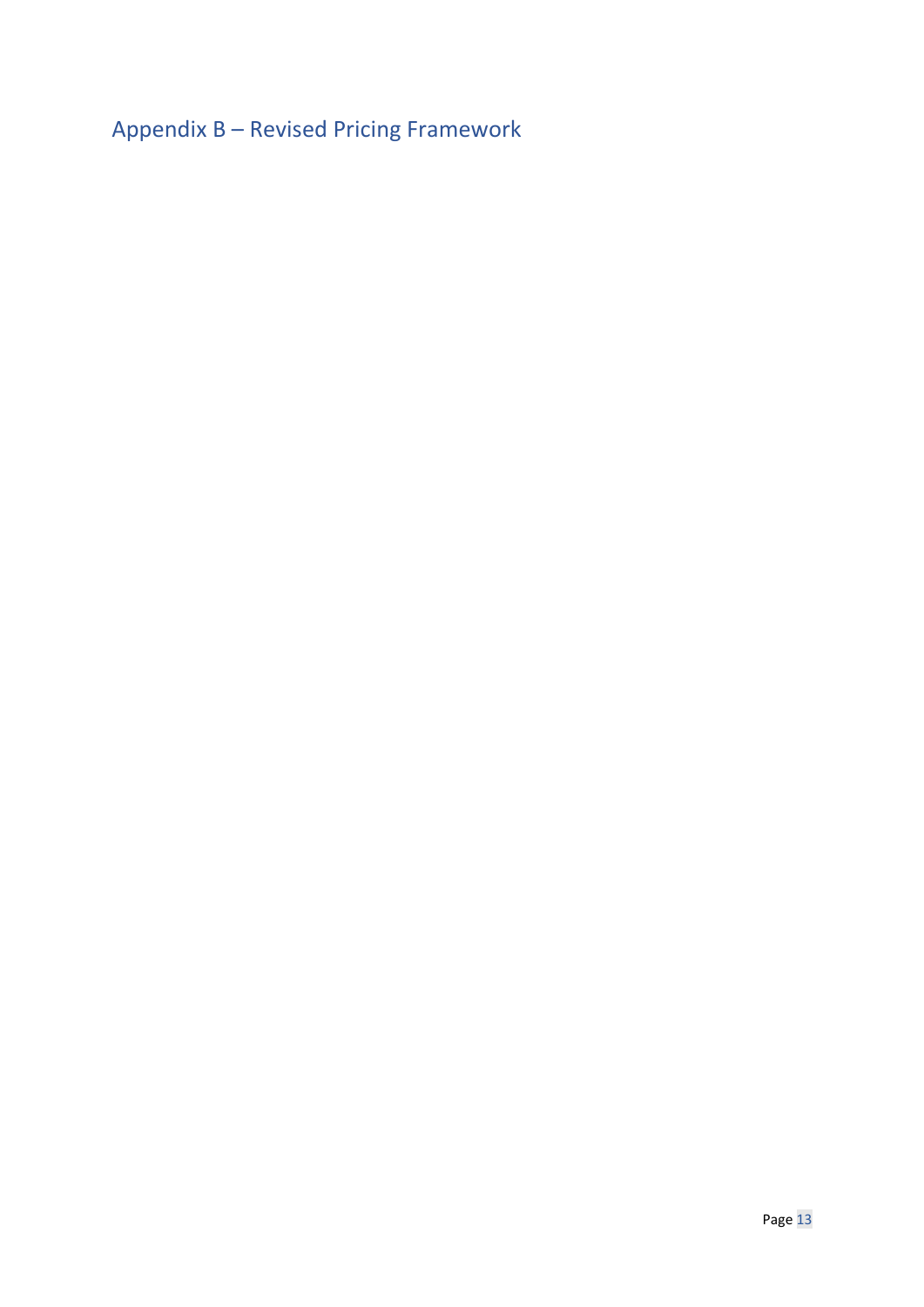<span id="page-12-0"></span>Appendix B – Revised Pricing Framework